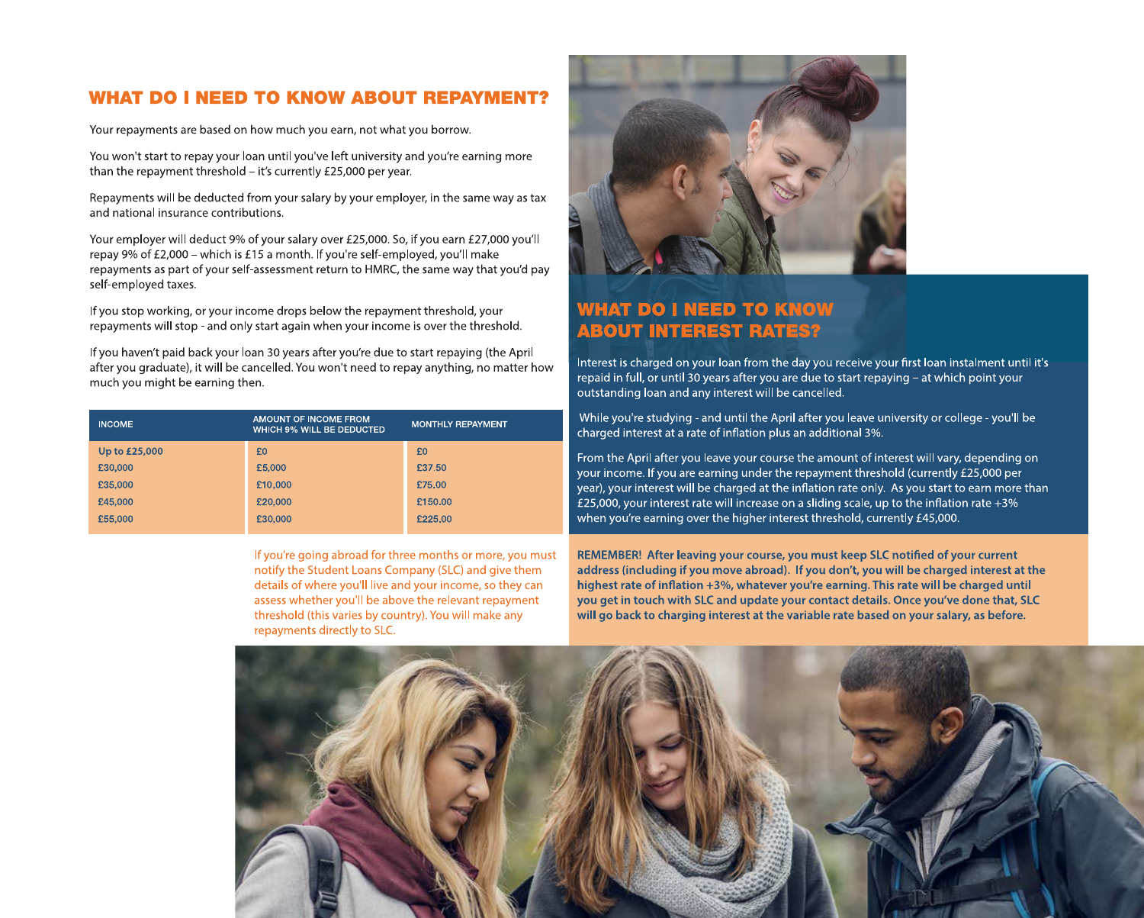### **WHAT DO I NEED TO KNOW ABOUT REPAYMENT?**

Your repayments are based on how much you earn, not what you borrow.

You won't start to repay your loan until you've left university and you're earning more than the repayment threshold  $-$  it's currently £25,000 per year.

Repayments will be deducted from your salary by your employer, in the same way as tax and national insurance contributions.

Your employer will deduct 9% of your salary over £25,000. So, if you earn £27,000 you'll repay 9% of £2,000 – which is £15 a month. If you're self-employed, you'll make repayments as part of your self-assessment return to HMRC, the same way that you'd pay self-employed taxes.

If you stop working, or your income drops below the repayment threshold, your repayments will stop - and only start again when your income is over the threshold.

If you haven't paid back your loan 30 years after you're due to start repaying (the April after you graduate), it will be cancelled. You won't need to repay anything, no matter how much you might be earning then.

| <b>INCOME</b> | AMOUNT OF INCOME FROM<br><b>WHICH 9% WILL BE DEDUCTED</b> | <b>MONTHLY REPAYMENT</b> |
|---------------|-----------------------------------------------------------|--------------------------|
| Up to £25,000 | £O                                                        | £0                       |
| £30,000       | £5,000                                                    | £37.50                   |
| £35,000       | £10,000                                                   | £75.00                   |
| £45,000       | £20,000                                                   | £150.00                  |
| £55,000       | £30,000                                                   | £225.00                  |

If you're going abroad for three months or more, you must notify the Student Loans Company (SLC) and give them details of where you'll live and your income, so they can assess whether you'll be above the relevant repayment threshold (this varies by country). You will make any repayments directly to SLC.



### **WHAT DO I NEED TO KNOW ABOUT INTEREST RATES?**

Interest is charged on your loan from the day you receive your first loan instalment until it's repaid in full, or until 30 years after you are due to start repaying - at which point your outstanding loan and any interest will be cancelled.

While you're studying - and until the April after you leave university or college - you'll be charged interest at a rate of inflation plus an additional 3%.

From the April after you leave your course the amount of interest will vary, depending on your income. If you are earning under the repayment threshold (currently £25,000 per year), your interest will be charged at the inflation rate only. As you start to earn more than £25,000, your interest rate will increase on a sliding scale, up to the inflation rate  $+3\%$ when you're earning over the higher interest threshold, currently £45,000.

REMEMBER! After leaving your course, you must keep SLC notified of your current address (including if you move abroad). If you don't, you will be charged interest at the highest rate of inflation +3%, whatever you're earning. This rate will be charged until you get in touch with SLC and update your contact details. Once you've done that, SLC will go back to charging interest at the variable rate based on your salary, as before.